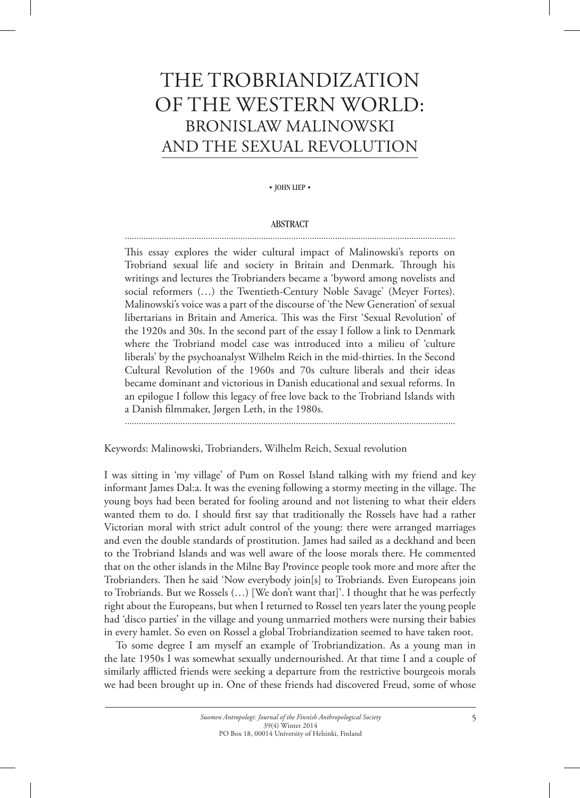# The Trobriandization of the Western World: Bronislaw Malinowski and the sexual revolution

• JOHN LIEP •

## **ABSTRACT** ...............................................................................................................................................

This essay explores the wider cultural impact of Malinowski's reports on Trobriand sexual life and society in Britain and Denmark. Through his writings and lectures the Trobrianders became a 'byword among novelists and social reformers (…) the Twentieth-Century Noble Savage' (Meyer Fortes). Malinowski's voice was a part of the discourse of 'the New Generation' of sexual libertarians in Britain and America. This was the First 'Sexual Revolution' of the 1920s and 30s. In the second part of the essay I follow a link to Denmark where the Trobriand model case was introduced into a milieu of 'culture liberals' by the psychoanalyst Wilhelm Reich in the mid-thirties. In the Second Cultural Revolution of the 1960s and 70s culture liberals and their ideas became dominant and victorious in Danish educational and sexual reforms. In an epilogue I follow this legacy of free love back to the Trobriand Islands with a Danish filmmaker, Jørgen Leth, in the 1980s.

...............................................................................................................................................

Keywords: Malinowski, Trobrianders, Wilhelm Reich, Sexual revolution

I was sitting in 'my village' of Pum on Rossel Island talking with my friend and key informant James Dal:a. It was the evening following a stormy meeting in the village. The young boys had been berated for fooling around and not listening to what their elders wanted them to do. I should first say that traditionally the Rossels have had a rather Victorian moral with strict adult control of the young: there were arranged marriages and even the double standards of prostitution. James had sailed as a deckhand and been to the Trobriand Islands and was well aware of the loose morals there. He commented that on the other islands in the Milne Bay Province people took more and more after the Trobrianders. Then he said 'Now everybody join[s] to Trobriands. Even Europeans join to Trobriands. But we Rossels (…) [We don't want that]'. I thought that he was perfectly right about the Europeans, but when I returned to Rossel ten years later the young people had 'disco parties' in the village and young unmarried mothers were nursing their babies in every hamlet. So even on Rossel a global Trobriandization seemed to have taken root.

To some degree I am myself an example of Trobriandization. As a young man in the late 1950s I was somewhat sexually undernourished. At that time I and a couple of similarly afflicted friends were seeking a departure from the restrictive bourgeois morals we had been brought up in. One of these friends had discovered Freud, some of whose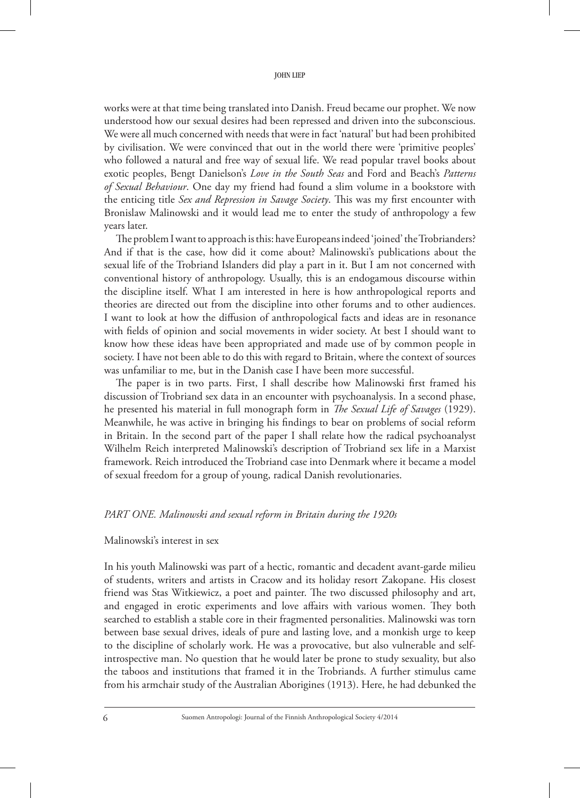works were at that time being translated into Danish. Freud became our prophet. We now understood how our sexual desires had been repressed and driven into the subconscious. We were all much concerned with needs that were in fact 'natural' but had been prohibited by civilisation. We were convinced that out in the world there were 'primitive peoples' who followed a natural and free way of sexual life. We read popular travel books about exotic peoples, Bengt Danielson's *Love in the South Seas* and Ford and Beach's *Patterns of Sexual Behaviour*. One day my friend had found a slim volume in a bookstore with the enticing title *Sex and Repression in Savage Society*. This was my first encounter with Bronislaw Malinowski and it would lead me to enter the study of anthropology a few years later.

The problem I want to approach is this: have Europeans indeed 'joined' the Trobrianders? And if that is the case, how did it come about? Malinowski's publications about the sexual life of the Trobriand Islanders did play a part in it. But I am not concerned with conventional history of anthropology. Usually, this is an endogamous discourse within the discipline itself. What I am interested in here is how anthropological reports and theories are directed out from the discipline into other forums and to other audiences. I want to look at how the diffusion of anthropological facts and ideas are in resonance with fields of opinion and social movements in wider society. At best I should want to know how these ideas have been appropriated and made use of by common people in society. I have not been able to do this with regard to Britain, where the context of sources was unfamiliar to me, but in the Danish case I have been more successful.

The paper is in two parts. First, I shall describe how Malinowski first framed his discussion of Trobriand sex data in an encounter with psychoanalysis. In a second phase, he presented his material in full monograph form in *The Sexual Life of Savages* (1929). Meanwhile, he was active in bringing his findings to bear on problems of social reform in Britain. In the second part of the paper I shall relate how the radical psychoanalyst Wilhelm Reich interpreted Malinowski's description of Trobriand sex life in a Marxist framework. Reich introduced the Trobriand case into Denmark where it became a model of sexual freedom for a group of young, radical Danish revolutionaries.

## *PART ONE. Malinowski and sexual reform in Britain during the 1920s*

## Malinowski's interest in sex

In his youth Malinowski was part of a hectic, romantic and decadent avant-garde milieu of students, writers and artists in Cracow and its holiday resort Zakopane. His closest friend was Stas Witkiewicz, a poet and painter. The two discussed philosophy and art, and engaged in erotic experiments and love affairs with various women. They both searched to establish a stable core in their fragmented personalities. Malinowski was torn between base sexual drives, ideals of pure and lasting love, and a monkish urge to keep to the discipline of scholarly work. He was a provocative, but also vulnerable and selfintrospective man. No question that he would later be prone to study sexuality, but also the taboos and institutions that framed it in the Trobriands. A further stimulus came from his armchair study of the Australian Aborigines (1913). Here, he had debunked the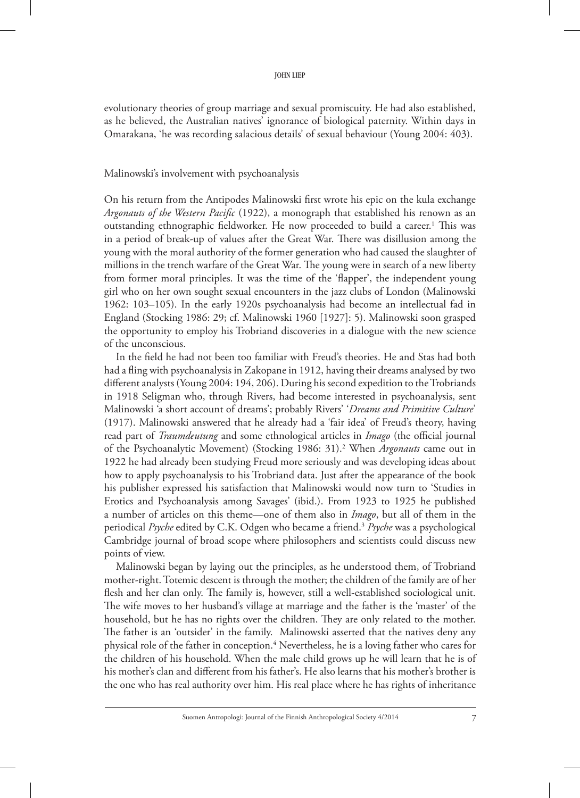evolutionary theories of group marriage and sexual promiscuity. He had also established, as he believed, the Australian natives' ignorance of biological paternity. Within days in Omarakana, 'he was recording salacious details' of sexual behaviour (Young 2004: 403).

#### Malinowski's involvement with psychoanalysis

On his return from the Antipodes Malinowski first wrote his epic on the kula exchange *Argonauts of the Western Pacific* (1922), a monograph that established his renown as an outstanding ethnographic fieldworker. He now proceeded to build a career.<sup>1</sup> This was in a period of break-up of values after the Great War. There was disillusion among the young with the moral authority of the former generation who had caused the slaughter of millions in the trench warfare of the Great War. The young were in search of a new liberty from former moral principles. It was the time of the 'flapper', the independent young girl who on her own sought sexual encounters in the jazz clubs of London (Malinowski 1962: 103–105). In the early 1920s psychoanalysis had become an intellectual fad in England (Stocking 1986: 29; cf. Malinowski 1960 [1927]: 5). Malinowski soon grasped the opportunity to employ his Trobriand discoveries in a dialogue with the new science of the unconscious.

In the field he had not been too familiar with Freud's theories. He and Stas had both had a fling with psychoanalysis in Zakopane in 1912, having their dreams analysed by two different analysts (Young 2004: 194, 206). During his second expedition to the Trobriands in 1918 Seligman who, through Rivers, had become interested in psychoanalysis, sent Malinowski 'a short account of dreams'; probably Rivers' '*Dreams and primitive culture*' (1917). Malinowski answered that he already had a 'fair idea' of Freud's theory, having read part of *Traumdeutung* and some ethnological articles in *Imago* (the official journal of the Psychoanalytic Movement) (Stocking 1986: 31).2 When *Argonauts* came out in 1922 he had already been studying Freud more seriously and was developing ideas about how to apply psychoanalysis to his Trobriand data. Just after the appearance of the book his publisher expressed his satisfaction that Malinowski would now turn to 'Studies in Erotics and Psychoanalysis among Savages' (ibid.). From 1923 to 1925 he published a number of articles on this theme—one of them also in *Imago*, but all of them in the periodical *Psyche* edited by C.K. Odgen who became a friend.3 *Psyche* was a psychological Cambridge journal of broad scope where philosophers and scientists could discuss new points of view.

Malinowski began by laying out the principles, as he understood them, of Trobriand mother-right. Totemic descent is through the mother; the children of the family are of her flesh and her clan only. The family is, however, still a well-established sociological unit. The wife moves to her husband's village at marriage and the father is the 'master' of the household, but he has no rights over the children. They are only related to the mother. The father is an 'outsider' in the family. Malinowski asserted that the natives deny any physical role of the father in conception.<sup>4</sup> Nevertheless, he is a loving father who cares for the children of his household. When the male child grows up he will learn that he is of his mother's clan and different from his father's. He also learns that his mother's brother is the one who has real authority over him. His real place where he has rights of inheritance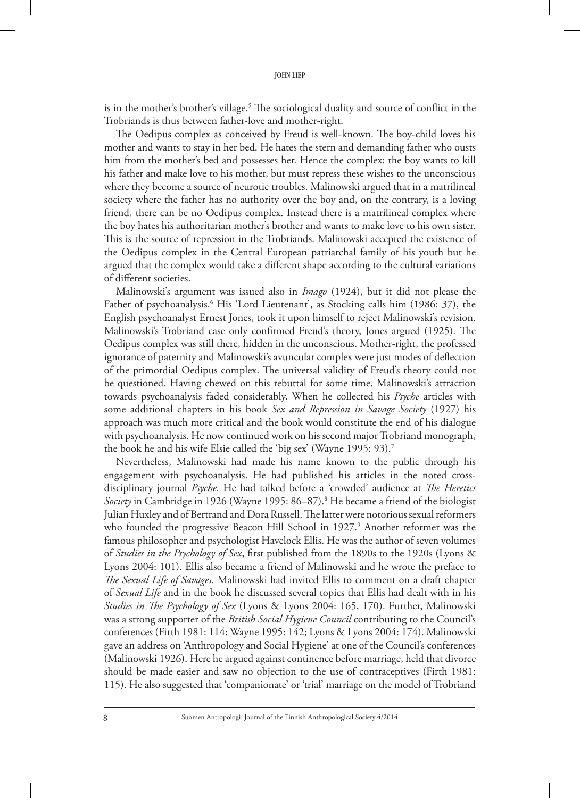is in the mother's brother's village.<sup>5</sup> The sociological duality and source of conflict in the Trobriands is thus between father-love and mother-right.

The Oedipus complex as conceived by Freud is well-known. The boy-child loves his mother and wants to stay in her bed. He hates the stern and demanding father who ousts him from the mother's bed and possesses her. Hence the complex: the boy wants to kill his father and make love to his mother, but must repress these wishes to the unconscious where they become a source of neurotic troubles. Malinowski argued that in a matrilineal society where the father has no authority over the boy and, on the contrary, is a loving friend, there can be no Oedipus complex. Instead there is a matrilineal complex where the boy hates his authoritarian mother's brother and wants to make love to his own sister. This is the source of repression in the Trobriands. Malinowski accepted the existence of the Oedipus complex in the Central European patriarchal family of his youth but he argued that the complex would take a different shape according to the cultural variations of different societies.

Malinowski's argument was issued also in *Imago* (1924), but it did not please the Father of psychoanalysis.<sup>6</sup> His 'Lord Lieutenant', as Stocking calls him (1986: 37), the English psychoanalyst Ernest Jones, took it upon himself to reject Malinowski's revision. Malinowski's Trobriand case only confirmed Freud's theory, Jones argued (1925). The Oedipus complex was still there, hidden in the unconscious. Mother-right, the professed ignorance of paternity and Malinowski's avuncular complex were just modes of deflection of the primordial Oedipus complex. The universal validity of Freud's theory could not be questioned. Having chewed on this rebuttal for some time, Malinowski's attraction towards psychoanalysis faded considerably. When he collected his *Psyche* articles with some additional chapters in his book *Sex and Repression in Savage Society* (1927) his approach was much more critical and the book would constitute the end of his dialogue with psychoanalysis. He now continued work on his second major Trobriand monograph, the book he and his wife Elsie called the 'big sex' (Wayne 1995: 93).7

Nevertheless, Malinowski had made his name known to the public through his engagement with psychoanalysis. He had published his articles in the noted crossdisciplinary journal *Psyche*. He had talked before a 'crowded' audience at *The Heretics*  Society in Cambridge in 1926 (Wayne 1995: 86–87).<sup>8</sup> He became a friend of the biologist Julian Huxley and of Bertrand and Dora Russell. The latter were notorious sexual reformers who founded the progressive Beacon Hill School in 1927.<sup>9</sup> Another reformer was the famous philosopher and psychologist Havelock Ellis. He was the author of seven volumes of *Studies in the Psychology of Sex*, first published from the 1890s to the 1920s (Lyons & Lyons 2004: 101). Ellis also became a friend of Malinowski and he wrote the preface to *The Sexual Life of Savages*. Malinowski had invited Ellis to comment on a draft chapter of *Sexual Life* and in the book he discussed several topics that Ellis had dealt with in his *Studies in The Psychology of Sex* (Lyons & Lyons 2004: 165, 170). Further, Malinowski was a strong supporter of the *British Social Hygiene Council* contributing to the Council's conferences (Firth 1981: 114; Wayne 1995: 142; Lyons & Lyons 2004: 174). Malinowski gave an address on 'Anthropology and Social Hygiene' at one of the Council's conferences (Malinowski 1926). Here he argued against continence before marriage, held that divorce should be made easier and saw no objection to the use of contraceptives (Firth 1981: 115). He also suggested that 'companionate' or 'trial' marriage on the model of Trobriand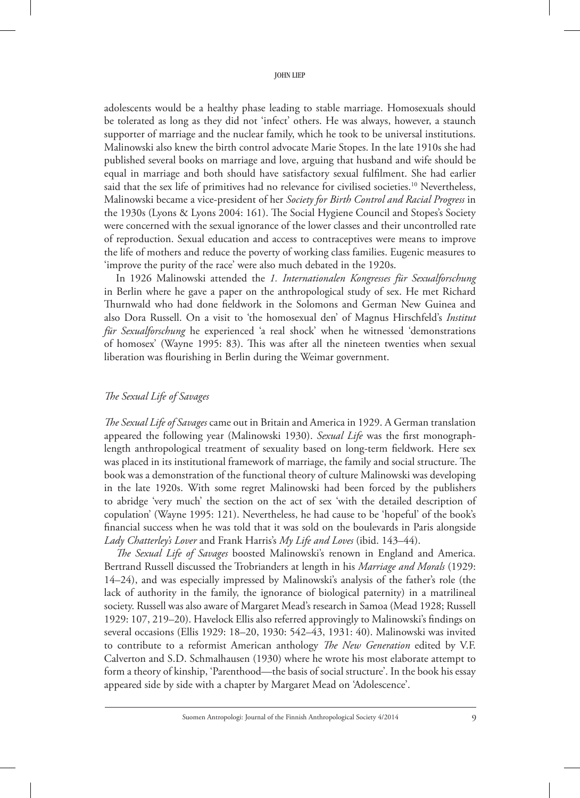adolescents would be a healthy phase leading to stable marriage. Homosexuals should be tolerated as long as they did not 'infect' others. He was always, however, a staunch supporter of marriage and the nuclear family, which he took to be universal institutions. Malinowski also knew the birth control advocate Marie Stopes. In the late 1910s she had published several books on marriage and love, arguing that husband and wife should be equal in marriage and both should have satisfactory sexual fulfilment. She had earlier said that the sex life of primitives had no relevance for civilised societies.<sup>10</sup> Nevertheless, Malinowski became a vice-president of her *Society for Birth Control and Racial Progress* in the 1930s (Lyons & Lyons 2004: 161). The Social Hygiene Council and Stopes's Society were concerned with the sexual ignorance of the lower classes and their uncontrolled rate of reproduction. Sexual education and access to contraceptives were means to improve the life of mothers and reduce the poverty of working class families. Eugenic measures to 'improve the purity of the race' were also much debated in the 1920s.

In 1926 Malinowski attended the *1. Internationalen Kongresses für Sexualforschung* in Berlin where he gave a paper on the anthropological study of sex. He met Richard Thurnwald who had done fieldwork in the Solomons and German New Guinea and also Dora Russell. On a visit to 'the homosexual den' of Magnus Hirschfeld's *Institut für Sexualforschung* he experienced 'a real shock' when he witnessed 'demonstrations of homosex' (Wayne 1995: 83). This was after all the nineteen twenties when sexual liberation was flourishing in Berlin during the Weimar government.

# *The Sexual Life of Savages*

*The Sexual Life of Savages* came out in Britain and America in 1929. A German translation appeared the following year (Malinowski 1930). *Sexual Life* was the first monographlength anthropological treatment of sexuality based on long-term fieldwork. Here sex was placed in its institutional framework of marriage, the family and social structure. The book was a demonstration of the functional theory of culture Malinowski was developing in the late 1920s. With some regret Malinowski had been forced by the publishers to abridge 'very much' the section on the act of sex 'with the detailed description of copulation' (Wayne 1995: 121). Nevertheless, he had cause to be 'hopeful' of the book's financial success when he was told that it was sold on the boulevards in Paris alongside *Lady Chatterley's Lover* and Frank Harris's *My Life and Loves* (ibid. 143–44).

*The Sexual Life of Savages* boosted Malinowski's renown in England and America. Bertrand Russell discussed the Trobrianders at length in his *Marriage and Morals* (1929: 14–24), and was especially impressed by Malinowski's analysis of the father's role (the lack of authority in the family, the ignorance of biological paternity) in a matrilineal society. Russell was also aware of Margaret Mead's research in Samoa (Mead 1928; Russell 1929: 107, 219–20). Havelock Ellis also referred approvingly to Malinowski's findings on several occasions (Ellis 1929: 18–20, 1930: 542–43, 1931: 40). Malinowski was invited to contribute to a reformist American anthology *The New Generation* edited by V.F. Calverton and S.D. Schmalhausen (1930) where he wrote his most elaborate attempt to form a theory of kinship, 'Parenthood—the basis of social structure'. In the book his essay appeared side by side with a chapter by Margaret Mead on 'Adolescence'.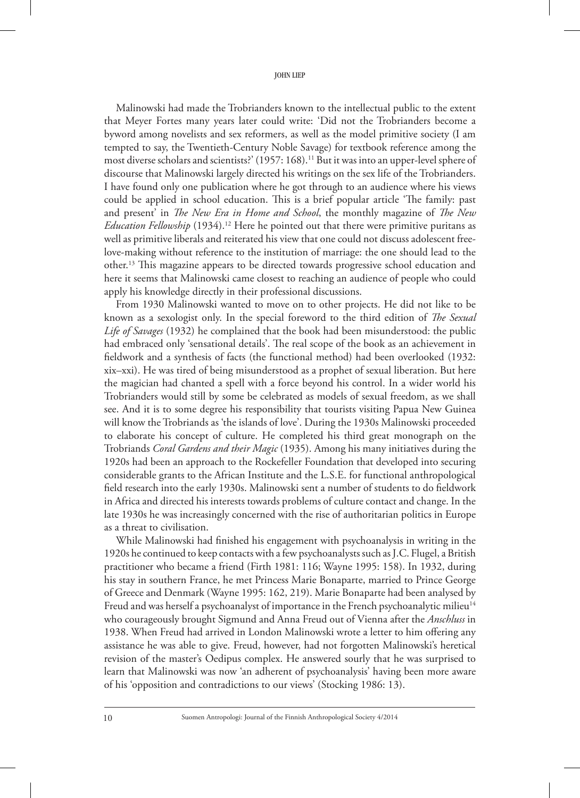Malinowski had made the Trobrianders known to the intellectual public to the extent that Meyer Fortes many years later could write: 'Did not the Trobrianders become a byword among novelists and sex reformers, as well as the model primitive society (I am tempted to say, the Twentieth-Century Noble Savage) for textbook reference among the most diverse scholars and scientists?' (1957: 168).<sup>11</sup> But it was into an upper-level sphere of discourse that Malinowski largely directed his writings on the sex life of the Trobrianders. I have found only one publication where he got through to an audience where his views could be applied in school education. This is a brief popular article 'The family: past and present' in *The New Era in Home and School*, the monthly magazine of *The New Education Fellowship* (1934).<sup>12</sup> Here he pointed out that there were primitive puritans as well as primitive liberals and reiterated his view that one could not discuss adolescent freelove-making without reference to the institution of marriage: the one should lead to the other.13 This magazine appears to be directed towards progressive school education and here it seems that Malinowski came closest to reaching an audience of people who could apply his knowledge directly in their professional discussions.

From 1930 Malinowski wanted to move on to other projects. He did not like to be known as a sexologist only. In the special foreword to the third edition of *The Sexual Life of Savages* (1932) he complained that the book had been misunderstood: the public had embraced only 'sensational details'. The real scope of the book as an achievement in fieldwork and a synthesis of facts (the functional method) had been overlooked (1932: xix–xxi). He was tired of being misunderstood as a prophet of sexual liberation. But here the magician had chanted a spell with a force beyond his control. In a wider world his Trobrianders would still by some be celebrated as models of sexual freedom, as we shall see. And it is to some degree his responsibility that tourists visiting Papua New Guinea will know the Trobriands as 'the islands of love'. During the 1930s Malinowski proceeded to elaborate his concept of culture. He completed his third great monograph on the Trobriands *Coral Gardens and their Magic* (1935). Among his many initiatives during the 1920s had been an approach to the Rockefeller Foundation that developed into securing considerable grants to the African Institute and the L.S.E. for functional anthropological field research into the early 1930s. Malinowski sent a number of students to do fieldwork in Africa and directed his interests towards problems of culture contact and change. In the late 1930s he was increasingly concerned with the rise of authoritarian politics in Europe as a threat to civilisation.

While Malinowski had finished his engagement with psychoanalysis in writing in the 1920s he continued to keep contacts with a few psychoanalysts such as J.C. Flugel, a British practitioner who became a friend (Firth 1981: 116; Wayne 1995: 158). In 1932, during his stay in southern France, he met Princess Marie Bonaparte, married to Prince George of Greece and Denmark (Wayne 1995: 162, 219). Marie Bonaparte had been analysed by Freud and was herself a psychoanalyst of importance in the French psychoanalytic milieu<sup>14</sup> who courageously brought Sigmund and Anna Freud out of Vienna after the *Anschluss* in 1938. When Freud had arrived in London Malinowski wrote a letter to him offering any assistance he was able to give. Freud, however, had not forgotten Malinowski's heretical revision of the master's Oedipus complex. He answered sourly that he was surprised to learn that Malinowski was now 'an adherent of psychoanalysis' having been more aware of his 'opposition and contradictions to our views' (Stocking 1986: 13).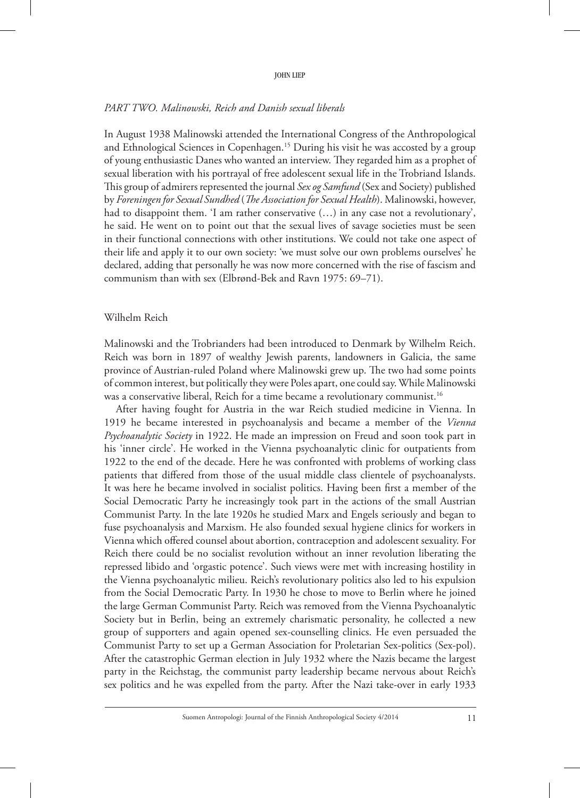## *PART TWO. Malinowski, Reich and Danish sexual liberals*

In August 1938 Malinowski attended the International Congress of the Anthropological and Ethnological Sciences in Copenhagen.<sup>15</sup> During his visit he was accosted by a group of young enthusiastic Danes who wanted an interview. They regarded him as a prophet of sexual liberation with his portrayal of free adolescent sexual life in the Trobriand Islands. This group of admirers represented the journal *Sex og Samfund* (Sex and Society) published by *Foreningen for Sexual Sundhed* (*The Association for Sexual Health*). Malinowski, however, had to disappoint them. 'I am rather conservative (…) in any case not a revolutionary', he said. He went on to point out that the sexual lives of savage societies must be seen in their functional connections with other institutions. We could not take one aspect of their life and apply it to our own society: 'we must solve our own problems ourselves' he declared, adding that personally he was now more concerned with the rise of fascism and communism than with sex (Elbrønd-Bek and Ravn 1975: 69–71).

## Wilhelm Reich

Malinowski and the Trobrianders had been introduced to Denmark by Wilhelm Reich. Reich was born in 1897 of wealthy Jewish parents, landowners in Galicia, the same province of Austrian-ruled Poland where Malinowski grew up. The two had some points of common interest, but politically they were Poles apart, one could say. While Malinowski was a conservative liberal, Reich for a time became a revolutionary communist.<sup>16</sup>

After having fought for Austria in the war Reich studied medicine in Vienna. In 1919 he became interested in psychoanalysis and became a member of the *Vienna Psychoanalytic Society* in 1922. He made an impression on Freud and soon took part in his 'inner circle'. He worked in the Vienna psychoanalytic clinic for outpatients from 1922 to the end of the decade. Here he was confronted with problems of working class patients that differed from those of the usual middle class clientele of psychoanalysts. It was here he became involved in socialist politics. Having been first a member of the Social Democratic Party he increasingly took part in the actions of the small Austrian Communist Party. In the late 1920s he studied Marx and Engels seriously and began to fuse psychoanalysis and Marxism. He also founded sexual hygiene clinics for workers in Vienna which offered counsel about abortion, contraception and adolescent sexuality. For Reich there could be no socialist revolution without an inner revolution liberating the repressed libido and 'orgastic potence'. Such views were met with increasing hostility in the Vienna psychoanalytic milieu. Reich's revolutionary politics also led to his expulsion from the Social Democratic Party. In 1930 he chose to move to Berlin where he joined the large German Communist Party. Reich was removed from the Vienna Psychoanalytic Society but in Berlin, being an extremely charismatic personality, he collected a new group of supporters and again opened sex-counselling clinics. He even persuaded the Communist Party to set up a German Association for Proletarian Sex-politics (Sex-pol). After the catastrophic German election in July 1932 where the Nazis became the largest party in the Reichstag, the communist party leadership became nervous about Reich's sex politics and he was expelled from the party. After the Nazi take-over in early 1933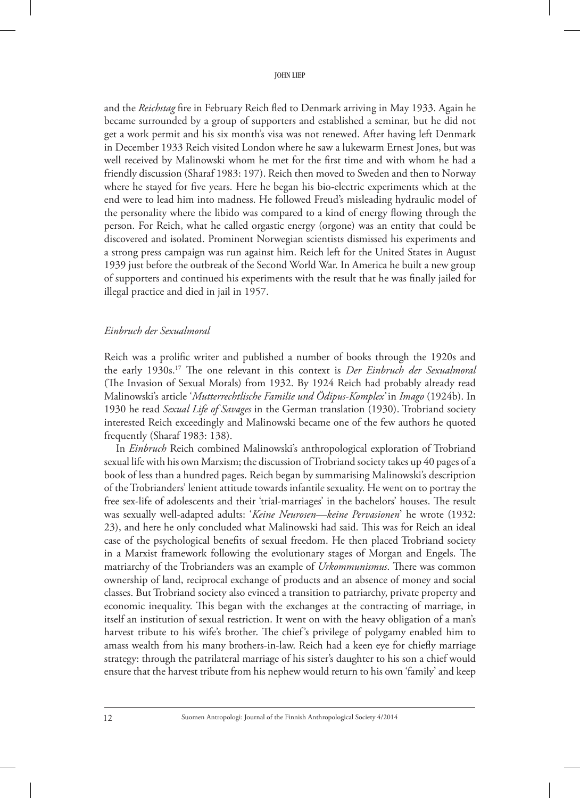and the *Reichstag* fire in February Reich fled to Denmark arriving in May 1933. Again he became surrounded by a group of supporters and established a seminar, but he did not get a work permit and his six month's visa was not renewed. After having left Denmark in December 1933 Reich visited London where he saw a lukewarm Ernest Jones, but was well received by Malinowski whom he met for the first time and with whom he had a friendly discussion (Sharaf 1983: 197). Reich then moved to Sweden and then to Norway where he stayed for five years. Here he began his bio-electric experiments which at the end were to lead him into madness. He followed Freud's misleading hydraulic model of the personality where the libido was compared to a kind of energy flowing through the person. For Reich, what he called orgastic energy (orgone) was an entity that could be discovered and isolated. Prominent Norwegian scientists dismissed his experiments and a strong press campaign was run against him. Reich left for the United States in August 1939 just before the outbreak of the Second World War. In America he built a new group of supporters and continued his experiments with the result that he was finally jailed for illegal practice and died in jail in 1957.

## *Einbruch der Sexualmoral*

Reich was a prolific writer and published a number of books through the 1920s and the early 1930s.17 The one relevant in this context is *Der Einbruch der Sexualmoral* (The Invasion of Sexual Morals) from 1932. By 1924 Reich had probably already read Malinowski's article '*Mutterrechtlische Familie und Ödipus-Komplex'* in *Imago* (1924b). In 1930 he read *Sexual Life of Savages* in the German translation (1930). Trobriand society interested Reich exceedingly and Malinowski became one of the few authors he quoted frequently (Sharaf 1983: 138).

In *Einbruch* Reich combined Malinowski's anthropological exploration of Trobriand sexual life with his own Marxism; the discussion of Trobriand society takes up 40 pages of a book of less than a hundred pages. Reich began by summarising Malinowski's description of the Trobrianders' lenient attitude towards infantile sexuality. He went on to portray the free sex-life of adolescents and their 'trial-marriages' in the bachelors' houses. The result was sexually well-adapted adults: '*Keine Neurosen—keine Pervasionen*' he wrote (1932: 23), and here he only concluded what Malinowski had said. This was for Reich an ideal case of the psychological benefits of sexual freedom. He then placed Trobriand society in a Marxist framework following the evolutionary stages of Morgan and Engels. The matriarchy of the Trobrianders was an example of *Urkommunismus*. There was common ownership of land, reciprocal exchange of products and an absence of money and social classes. But Trobriand society also evinced a transition to patriarchy, private property and economic inequality. This began with the exchanges at the contracting of marriage, in itself an institution of sexual restriction. It went on with the heavy obligation of a man's harvest tribute to his wife's brother. The chief's privilege of polygamy enabled him to amass wealth from his many brothers-in-law. Reich had a keen eye for chiefly marriage strategy: through the patrilateral marriage of his sister's daughter to his son a chief would ensure that the harvest tribute from his nephew would return to his own 'family' and keep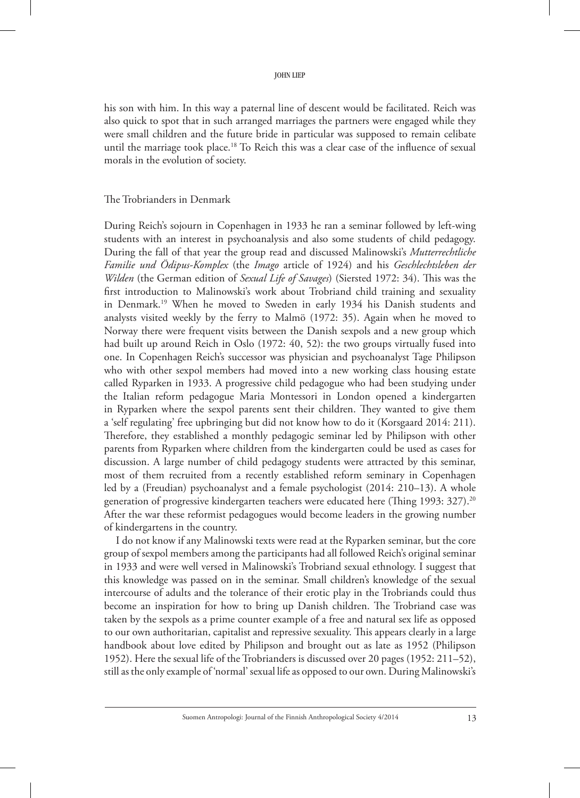his son with him. In this way a paternal line of descent would be facilitated. Reich was also quick to spot that in such arranged marriages the partners were engaged while they were small children and the future bride in particular was supposed to remain celibate until the marriage took place.<sup>18</sup> To Reich this was a clear case of the influence of sexual morals in the evolution of society.

## The Trobrianders in Denmark

During Reich's sojourn in Copenhagen in 1933 he ran a seminar followed by left-wing students with an interest in psychoanalysis and also some students of child pedagogy. During the fall of that year the group read and discussed Malinowski's *Mutterrechtliche Familie und Ödipus-Komplex* (the *Imago* article of 1924) and his *Geschlechtsleben der Wilden* (the German edition of *Sexual Life of Savages*) (Siersted 1972: 34). This was the first introduction to Malinowski's work about Trobriand child training and sexuality in Denmark.<sup>19</sup> When he moved to Sweden in early 1934 his Danish students and analysts visited weekly by the ferry to Malmö (1972: 35). Again when he moved to Norway there were frequent visits between the Danish sexpols and a new group which had built up around Reich in Oslo (1972: 40, 52): the two groups virtually fused into one. In Copenhagen Reich's successor was physician and psychoanalyst Tage Philipson who with other sexpol members had moved into a new working class housing estate called Ryparken in 1933. A progressive child pedagogue who had been studying under the Italian reform pedagogue Maria Montessori in London opened a kindergarten in Ryparken where the sexpol parents sent their children. They wanted to give them a 'self regulating' free upbringing but did not know how to do it (Korsgaard 2014: 211). Therefore, they established a monthly pedagogic seminar led by Philipson with other parents from Ryparken where children from the kindergarten could be used as cases for discussion. A large number of child pedagogy students were attracted by this seminar, most of them recruited from a recently established reform seminary in Copenhagen led by a (Freudian) psychoanalyst and a female psychologist (2014: 210–13). A whole generation of progressive kindergarten teachers were educated here (Thing 1993: 327).<sup>20</sup> After the war these reformist pedagogues would become leaders in the growing number of kindergartens in the country.

I do not know if any Malinowski texts were read at the Ryparken seminar, but the core group of sexpol members among the participants had all followed Reich's original seminar in 1933 and were well versed in Malinowski's Trobriand sexual ethnology. I suggest that this knowledge was passed on in the seminar. Small children's knowledge of the sexual intercourse of adults and the tolerance of their erotic play in the Trobriands could thus become an inspiration for how to bring up Danish children. The Trobriand case was taken by the sexpols as a prime counter example of a free and natural sex life as opposed to our own authoritarian, capitalist and repressive sexuality. This appears clearly in a large handbook about love edited by Philipson and brought out as late as 1952 (Philipson 1952). Here the sexual life of the Trobrianders is discussed over 20 pages (1952: 211–52), still as the only example of 'normal' sexual life as opposed to our own. During Malinowski's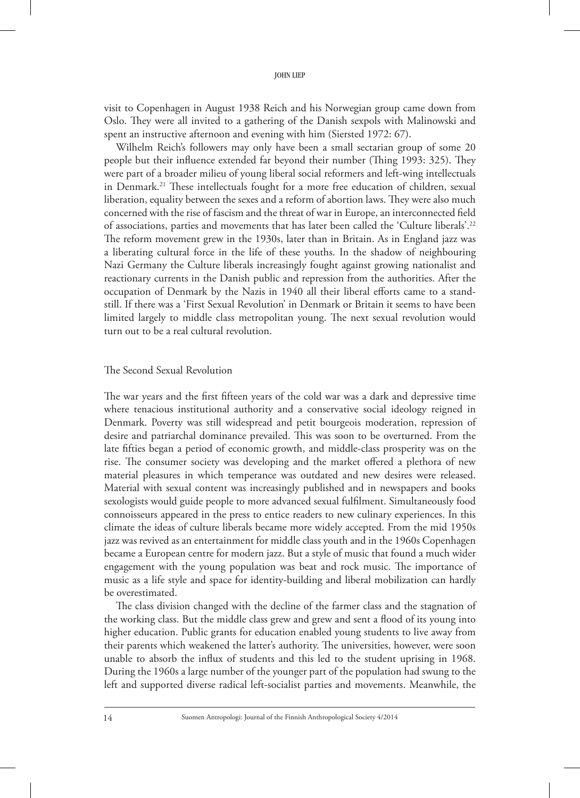visit to Copenhagen in August 1938 Reich and his Norwegian group came down from Oslo. They were all invited to a gathering of the Danish sexpols with Malinowski and spent an instructive afternoon and evening with him (Siersted 1972: 67).

Wilhelm Reich's followers may only have been a small sectarian group of some 20 people but their influence extended far beyond their number (Thing 1993: 325). They were part of a broader milieu of young liberal social reformers and left-wing intellectuals in Denmark.<sup>21</sup> These intellectuals fought for a more free education of children, sexual liberation, equality between the sexes and a reform of abortion laws. They were also much concerned with the rise of fascism and the threat of war in Europe, an interconnected field of associations, parties and movements that has later been called the 'Culture liberals'.22 The reform movement grew in the 1930s, later than in Britain. As in England jazz was a liberating cultural force in the life of these youths. In the shadow of neighbouring Nazi Germany the Culture liberals increasingly fought against growing nationalist and reactionary currents in the Danish public and repression from the authorities. After the occupation of Denmark by the Nazis in 1940 all their liberal efforts came to a standstill. If there was a 'First Sexual Revolution' in Denmark or Britain it seems to have been limited largely to middle class metropolitan young. The next sexual revolution would turn out to be a real cultural revolution.

## The Second Sexual Revolution

The war years and the first fifteen years of the cold war was a dark and depressive time where tenacious institutional authority and a conservative social ideology reigned in Denmark. Poverty was still widespread and petit bourgeois moderation, repression of desire and patriarchal dominance prevailed. This was soon to be overturned. From the late fifties began a period of economic growth, and middle-class prosperity was on the rise. The consumer society was developing and the market offered a plethora of new material pleasures in which temperance was outdated and new desires were released. Material with sexual content was increasingly published and in newspapers and books sexologists would guide people to more advanced sexual fulfilment. Simultaneously food connoisseurs appeared in the press to entice readers to new culinary experiences. In this climate the ideas of culture liberals became more widely accepted. From the mid 1950s jazz was revived as an entertainment for middle class youth and in the 1960s Copenhagen became a European centre for modern jazz. But a style of music that found a much wider engagement with the young population was beat and rock music. The importance of music as a life style and space for identity-building and liberal mobilization can hardly be overestimated.

The class division changed with the decline of the farmer class and the stagnation of the working class. But the middle class grew and grew and sent a flood of its young into higher education. Public grants for education enabled young students to live away from their parents which weakened the latter's authority. The universities, however, were soon unable to absorb the influx of students and this led to the student uprising in 1968. During the 1960s a large number of the younger part of the population had swung to the left and supported diverse radical left-socialist parties and movements. Meanwhile, the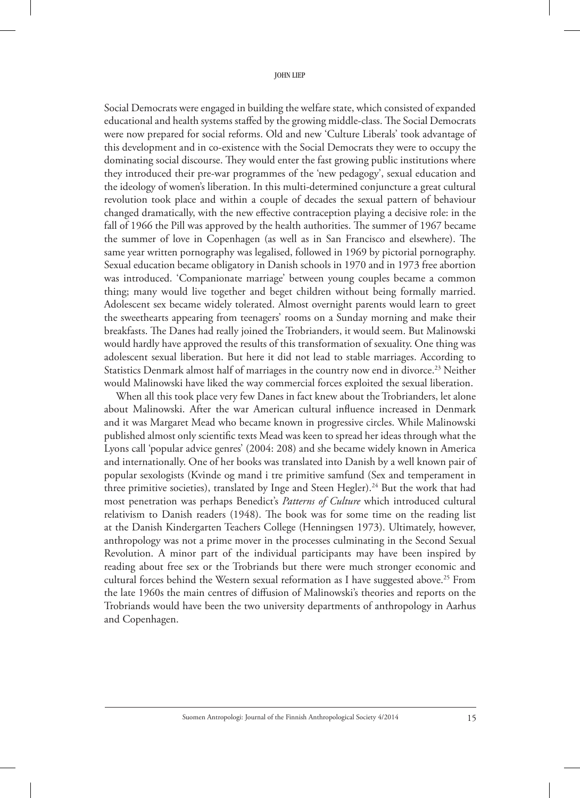Social Democrats were engaged in building the welfare state, which consisted of expanded educational and health systems staffed by the growing middle-class. The Social Democrats were now prepared for social reforms. Old and new 'Culture Liberals' took advantage of this development and in co-existence with the Social Democrats they were to occupy the dominating social discourse. They would enter the fast growing public institutions where they introduced their pre-war programmes of the 'new pedagogy', sexual education and the ideology of women's liberation. In this multi-determined conjuncture a great cultural revolution took place and within a couple of decades the sexual pattern of behaviour changed dramatically, with the new effective contraception playing a decisive role: in the fall of 1966 the Pill was approved by the health authorities. The summer of 1967 became the summer of love in Copenhagen (as well as in San Francisco and elsewhere). The same year written pornography was legalised, followed in 1969 by pictorial pornography. Sexual education became obligatory in Danish schools in 1970 and in 1973 free abortion was introduced. 'Companionate marriage' between young couples became a common thing; many would live together and beget children without being formally married. Adolescent sex became widely tolerated. Almost overnight parents would learn to greet the sweethearts appearing from teenagers' rooms on a Sunday morning and make their breakfasts. The Danes had really joined the Trobrianders, it would seem. But Malinowski would hardly have approved the results of this transformation of sexuality. One thing was adolescent sexual liberation. But here it did not lead to stable marriages. According to Statistics Denmark almost half of marriages in the country now end in divorce.<sup>23</sup> Neither would Malinowski have liked the way commercial forces exploited the sexual liberation.

When all this took place very few Danes in fact knew about the Trobrianders, let alone about Malinowski. After the war American cultural influence increased in Denmark and it was Margaret Mead who became known in progressive circles. While Malinowski published almost only scientific texts Mead was keen to spread her ideas through what the Lyons call 'popular advice genres' (2004: 208) and she became widely known in America and internationally. One of her books was translated into Danish by a well known pair of popular sexologists (Kvinde og mand i tre primitive samfund (Sex and temperament in three primitive societies), translated by Inge and Steen Hegler).<sup>24</sup> But the work that had most penetration was perhaps Benedict's *Patterns of Culture* which introduced cultural relativism to Danish readers (1948). The book was for some time on the reading list at the Danish Kindergarten Teachers College (Henningsen 1973). Ultimately, however, anthropology was not a prime mover in the processes culminating in the Second Sexual Revolution. A minor part of the individual participants may have been inspired by reading about free sex or the Trobriands but there were much stronger economic and cultural forces behind the Western sexual reformation as I have suggested above.<sup>25</sup> From the late 1960s the main centres of diffusion of Malinowski's theories and reports on the Trobriands would have been the two university departments of anthropology in Aarhus and Copenhagen.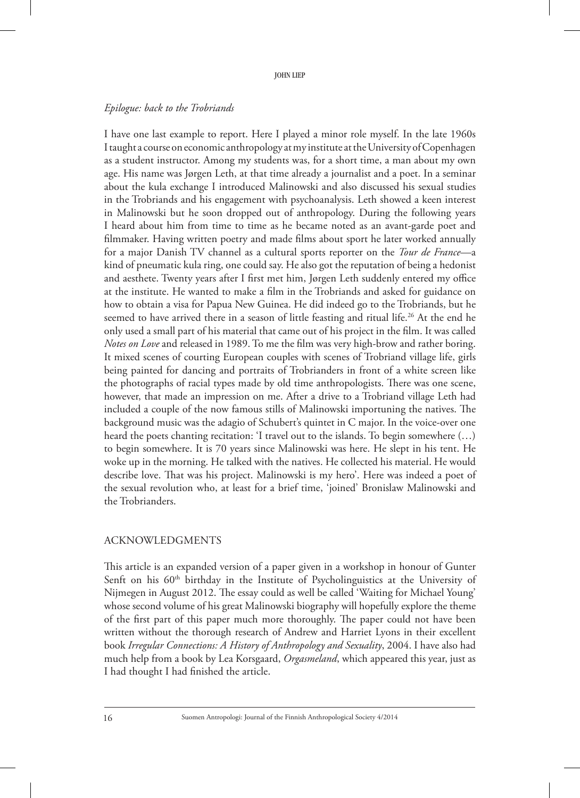## *Epilogue: back to the Trobriands*

I have one last example to report. Here I played a minor role myself. In the late 1960s I taught a course on economic anthropology at my institute at the University of Copenhagen as a student instructor. Among my students was, for a short time, a man about my own age. His name was Jørgen Leth, at that time already a journalist and a poet. In a seminar about the kula exchange I introduced Malinowski and also discussed his sexual studies in the Trobriands and his engagement with psychoanalysis. Leth showed a keen interest in Malinowski but he soon dropped out of anthropology. During the following years I heard about him from time to time as he became noted as an avant-garde poet and filmmaker. Having written poetry and made films about sport he later worked annually for a major Danish TV channel as a cultural sports reporter on the *Tour de France*—a kind of pneumatic kula ring, one could say. He also got the reputation of being a hedonist and aesthete. Twenty years after I first met him, Jørgen Leth suddenly entered my office at the institute. He wanted to make a film in the Trobriands and asked for guidance on how to obtain a visa for Papua New Guinea. He did indeed go to the Trobriands, but he seemed to have arrived there in a season of little feasting and ritual life.<sup>26</sup> At the end he only used a small part of his material that came out of his project in the film. It was called *Notes on Love* and released in 1989. To me the film was very high-brow and rather boring. It mixed scenes of courting European couples with scenes of Trobriand village life, girls being painted for dancing and portraits of Trobrianders in front of a white screen like the photographs of racial types made by old time anthropologists. There was one scene, however, that made an impression on me. After a drive to a Trobriand village Leth had included a couple of the now famous stills of Malinowski importuning the natives. The background music was the adagio of Schubert's quintet in C major. In the voice-over one heard the poets chanting recitation: 'I travel out to the islands. To begin somewhere (…) to begin somewhere. It is 70 years since Malinowski was here. He slept in his tent. He woke up in the morning. He talked with the natives. He collected his material. He would describe love. That was his project. Malinowski is my hero'. Here was indeed a poet of the sexual revolution who, at least for a brief time, 'joined' Bronislaw Malinowski and the Trobrianders.

## Acknowledgments

This article is an expanded version of a paper given in a workshop in honour of Gunter Senft on his  $60<sup>th</sup>$  birthday in the Institute of Psycholinguistics at the University of Nijmegen in August 2012. The essay could as well be called 'Waiting for Michael Young' whose second volume of his great Malinowski biography will hopefully explore the theme of the first part of this paper much more thoroughly. The paper could not have been written without the thorough research of Andrew and Harriet Lyons in their excellent book *Irregular connections: a history of anthropology and sexuality*, 2004. I have also had much help from a book by Lea Korsgaard, *Orgasmeland*, which appeared this year, just as I had thought I had finished the article.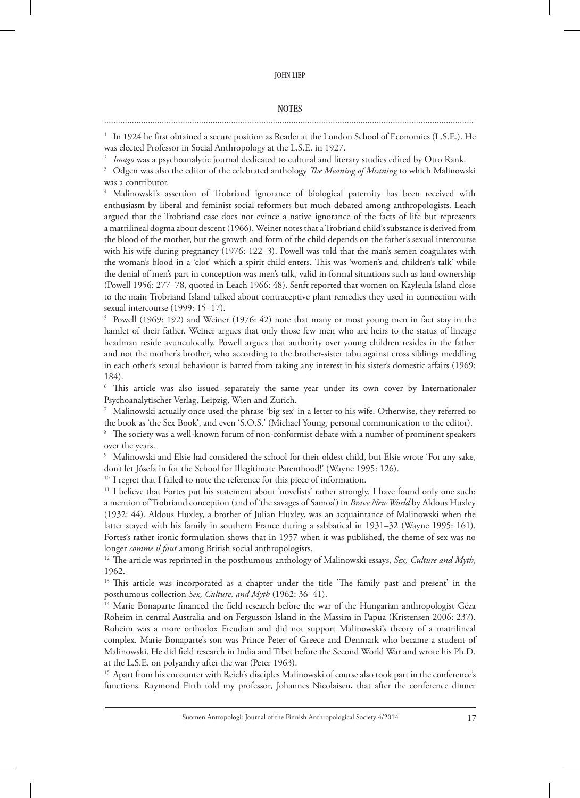#### **NOTES**

# ................................................................................................................................................................

<sup>1</sup> In 1924 he first obtained a secure position as Reader at the London School of Economics (L.S.E.). He was elected Professor in Social Anthropology at the L.S.E. in 1927.

<sup>2</sup> *Imago* was a psychoanalytic journal dedicated to cultural and literary studies edited by Otto Rank.

<sup>3</sup> Odgen was also the editor of the celebrated anthology *The Meaning of Meaning* to which Malinowski was a contributor.

<sup>4</sup> Malinowski's assertion of Trobriand ignorance of biological paternity has been received with enthusiasm by liberal and feminist social reformers but much debated among anthropologists. Leach argued that the Trobriand case does not evince a native ignorance of the facts of life but represents a matrilineal dogma about descent (1966). Weiner notes that a Trobriand child's substance is derived from the blood of the mother, but the growth and form of the child depends on the father's sexual intercourse with his wife during pregnancy (1976: 122–3). Powell was told that the man's semen coagulates with the woman's blood in a 'clot' which a spirit child enters. This was 'women's and children's talk' while the denial of men's part in conception was men's talk, valid in formal situations such as land ownership (Powell 1956: 277–78, quoted in Leach 1966: 48). Senft reported that women on Kayleula Island close to the main Trobriand Island talked about contraceptive plant remedies they used in connection with sexual intercourse (1999: 15–17).

<sup>5</sup> Powell (1969: 192) and Weiner (1976: 42) note that many or most young men in fact stay in the hamlet of their father. Weiner argues that only those few men who are heirs to the status of lineage headman reside avunculocally. Powell argues that authority over young children resides in the father and not the mother's brother, who according to the brother-sister tabu against cross siblings meddling in each other's sexual behaviour is barred from taking any interest in his sister's domestic affairs (1969: 184).

<sup>6</sup> This article was also issued separately the same year under its own cover by Internationaler Psychoanalytischer Verlag, Leipzig, Wien and Zurich.

 $7$  Malinowski actually once used the phrase 'big sex' in a letter to his wife. Otherwise, they referred to the book as 'the Sex Book', and even 'S.O.S.' (Michael Young, personal communication to the editor).

The society was a well-known forum of non-conformist debate with a number of prominent speakers over the years.

<sup>9</sup> Malinowski and Elsie had considered the school for their oldest child, but Elsie wrote 'For any sake, don't let Jósefa in for the School for Illegitimate Parenthood!' (Wayne 1995: 126).

<sup>10</sup> I regret that I failed to note the reference for this piece of information.

 $11$  I believe that Fortes put his statement about 'novelists' rather strongly. I have found only one such: a mention of Trobriand conception (and of 'the savages of Samoa') in *Brave New World* by Aldous Huxley (1932: 44). Aldous Huxley, a brother of Julian Huxley, was an acquaintance of Malinowski when the latter stayed with his family in southern France during a sabbatical in 1931–32 (Wayne 1995: 161). Fortes's rather ironic formulation shows that in 1957 when it was published, the theme of sex was no

longer *comme il faut* among British social anthropologists. 12 The article was reprinted in the posthumous anthology of Malinowski essays, *Sex, culture and myth*, 1962.

<sup>13</sup> This article was incorporated as a chapter under the title 'The family past and present' in the posthumous collection *Sex, Culture, and Myth* (1962: 36–41).

<sup>14</sup> Marie Bonaparte financed the field research before the war of the Hungarian anthropologist Géza Roheim in central Australia and on Fergusson Island in the Massim in Papua (Kristensen 2006: 237). Roheim was a more orthodox Freudian and did not support Malinowski's theory of a matrilineal complex. Marie Bonaparte's son was Prince Peter of Greece and Denmark who became a student of Malinowski. He did field research in India and Tibet before the Second World War and wrote his Ph.D. at the L.S.E. on polyandry after the war (Peter 1963).

<sup>15</sup> Apart from his encounter with Reich's disciples Malinowski of course also took part in the conference's functions. Raymond Firth told my professor, Johannes Nicolaisen, that after the conference dinner

Suomen Antropologi: Journal of the Finnish Anthropological Society 4/2014 17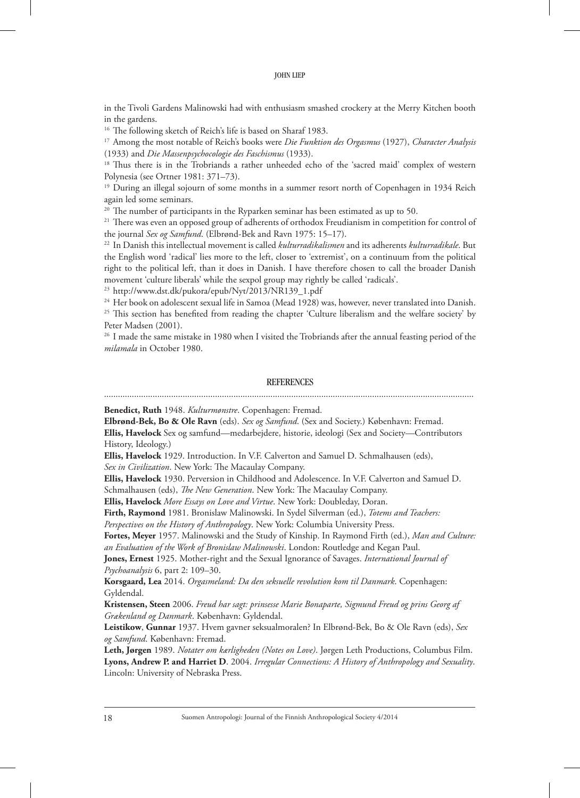in the Tivoli Gardens Malinowski had with enthusiasm smashed crockery at the Merry Kitchen booth in the gardens.

<sup>16</sup> The following sketch of Reich's life is based on Sharaf 1983.

<sup>17</sup> Among the most notable of Reich's books were *Die Funktion des Orgasmus* (1927), *Character Analysis* (1933) and *Die Massenpsychocologie des Faschismus* (1933).

<sup>18</sup> Thus there is in the Trobriands a rather unheeded echo of the 'sacred maid' complex of western Polynesia (see Ortner 1981: 371–73).

<sup>19</sup> During an illegal sojourn of some months in a summer resort north of Copenhagen in 1934 Reich again led some seminars.

<sup>20</sup> The number of participants in the Ryparken seminar has been estimated as up to 50.

<sup>21</sup> There was even an opposed group of adherents of orthodox Freudianism in competition for control of the journal *Sex og Samfund*. (Elbrønd-Bek and Ravn 1975: 15–17).

<sup>22</sup> In Danish this intellectual movement is called *kulturradikalismen* and its adherents *kulturradikale*. But the English word 'radical' lies more to the left, closer to 'extremist', on a continuum from the political right to the political left, than it does in Danish. I have therefore chosen to call the broader Danish movement 'culture liberals' while the sexpol group may rightly be called 'radicals'.

<sup>23</sup> http://www.dst.dk/pukora/epub/Nyt/2013/NR139\_1.pdf

<sup>24</sup> Her book on adolescent sexual life in Samoa (Mead 1928) was, however, never translated into Danish. <sup>25</sup> This section has benefited from reading the chapter 'Culture liberalism and the welfare society' by Peter Madsen (2001).

<sup>26</sup> I made the same mistake in 1980 when I visited the Trobriands after the annual feasting period of the *milamala* in October 1980.

#### **REFERENCES**

**Benedict, Ruth** 1948. *Kulturmønstre*. Copenhagen: Fremad.

**Elbrønd-Bek, Bo & Ole Ravn** (eds). *Sex og Samfund*. (Sex and Society.) København: Fremad.

**Ellis, Havelock** Sex og samfund—medarbejdere, historie, ideologi (Sex and Society—Contributors History, Ideology.)

**Ellis, Havelock** 1929. Introduction. In V.F. Calverton and Samuel D. Schmalhausen (eds),

*Sex in Civilization*. New York: The Macaulay Company.

**Ellis, Havelock** 1930. Perversion in Childhood and Adolescence. In V.F. Calverton and Samuel D.

Schmalhausen (eds), *The New Generation*. New York: The Macaulay Company.

**Ellis, Havelock** *More Essays on Love and Virtue*. New York: Doubleday, Doran.

**Firth, Raymond** 1981. Bronislaw Malinowski. In Sydel Silverman (ed.), *Totems and Teachers:* 

*Perspectives on the History of Anthropology*. New York: Columbia University Press.

**Fortes, Meyer** 1957. Malinowski and the Study of Kinship. In Raymond Firth (ed.), *Man and Culture: an Evaluation of the Work of Bronislaw Malinowski*. London: Routledge and Kegan Paul.

**Jones, Ernest** 1925. Mother-right and the Sexual Ignorance of Savages. *International Journal of Psychoanalysis* 6, part 2: 109–30.

**Korsgaard, Lea** 2014. *Orgasmeland: Da den seksuelle revolution kom til Danmark*. Copenhagen: Gyldendal.

**Kristensen, Steen** 2006. *Freud har sagt: prinsesse Marie Bonaparte, Sigmund Freud og prins Georg af Grækenland og Danmark*. København: Gyldendal.

**Leistikow**, **Gunnar** 1937. Hvem gavner seksualmoralen? In Elbrønd-Bek, Bo & Ole Ravn (eds), *Sex og Samfund*. København: Fremad.

**Leth, Jørgen** 1989. *Notater om kærligheden (Notes on Love)*. Jørgen Leth Productions, Columbus Film. **Lyons, Andrew P. and Harriet D**. 2004. *Irregular Connections: A History of Anthropology and Sexuality*. Lincoln: University of Nebraska Press.

18 Suomen Antropologi: Journal of the Finnish Anthropological Society 4/2014